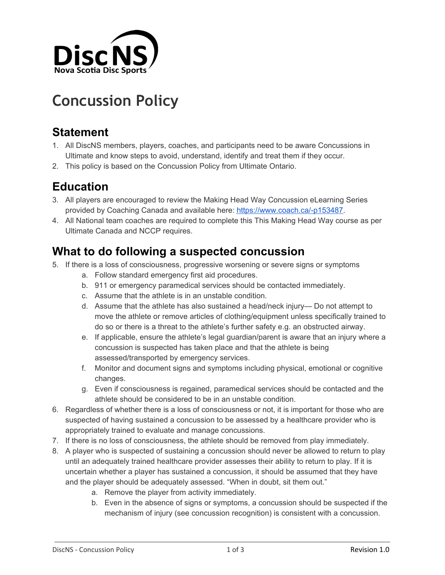

# **Concussion Policy**

# **Statement**

- 1. All DiscNS members, players, coaches, and participants need to be aware Concussions in Ultimate and know steps to avoid, understand, identify and treat them if they occur.
- 2. This policy is based on the Concussion Policy from Ultimate Ontario.

# **Education**

- 3. All players are encouraged to review the Making Head Way Concussion eLearning Series provided by Coaching Canada and available here: <https://www.coach.ca/-p153487>.
- 4. All National team coaches are required to complete this This Making Head Way course as per Ultimate Canada and NCCP requires.

### **What to do following a suspected concussion**

- 5. If there is a loss of consciousness, progressive worsening or severe signs or symptoms
	- a. Follow standard emergency first aid procedures.
	- b. 911 or emergency paramedical services should be contacted immediately.
	- c. Assume that the athlete is in an unstable condition.
	- d. Assume that the athlete has also sustained a head/neck injury— Do not attempt to move the athlete or remove articles of clothing/equipment unless specifically trained to do so or there is a threat to the athlete's further safety e.g. an obstructed airway.
	- e. If applicable, ensure the athlete's legal guardian/parent is aware that an injury where a concussion is suspected has taken place and that the athlete is being assessed/transported by emergency services.
	- f. Monitor and document signs and symptoms including physical, emotional or cognitive changes.
	- g. Even if consciousness is regained, paramedical services should be contacted and the athlete should be considered to be in an unstable condition.
- 6. Regardless of whether there is a loss of consciousness or not, it is important for those who are suspected of having sustained a concussion to be assessed by a healthcare provider who is appropriately trained to evaluate and manage concussions.
- 7. If there is no loss of consciousness, the athlete should be removed from play immediately.
- 8. A player who is suspected of sustaining a concussion should never be allowed to return to play until an adequately trained healthcare provider assesses their ability to return to play. If it is uncertain whether a player has sustained a concussion, it should be assumed that they have and the player should be adequately assessed. "When in doubt, sit them out."
	- a. Remove the player from activity immediately.
	- b. Even in the absence of signs or symptoms, a concussion should be suspected if the mechanism of injury (see concussion recognition) is consistent with a concussion.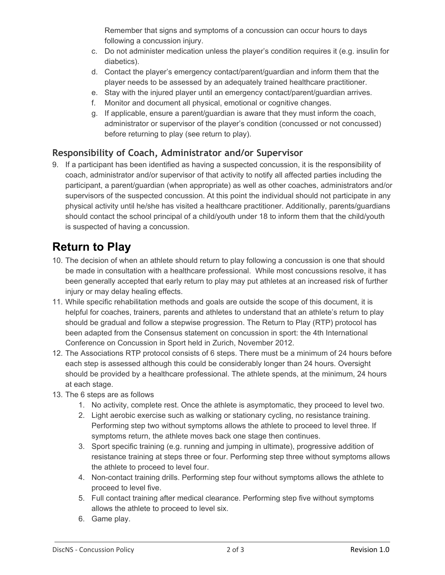Remember that signs and symptoms of a concussion can occur hours to days following a concussion injury.

- c. Do not administer medication unless the player's condition requires it (e.g. insulin for diabetics).
- d. Contact the player's emergency contact/parent/guardian and inform them that the player needs to be assessed by an adequately trained healthcare practitioner.
- e. Stay with the injured player until an emergency contact/parent/guardian arrives.
- f. Monitor and document all physical, emotional or cognitive changes.
- g. If applicable, ensure a parent/guardian is aware that they must inform the coach, administrator or supervisor of the player's condition (concussed or not concussed) before returning to play (see return to play).

#### **Responsibility of Coach, Administrator and/or Supervisor**

9. If a participant has been identified as having a suspected concussion, it is the responsibility of coach, administrator and/or supervisor of that activity to notify all affected parties including the participant, a parent/guardian (when appropriate) as well as other coaches, administrators and/or supervisors of the suspected concussion. At this point the individual should not participate in any physical activity until he/she has visited a healthcare practitioner. Additionally, parents/guardians should contact the school principal of a child/youth under 18 to inform them that the child/youth is suspected of having a concussion.

# **Return to Play**

- 10. The decision of when an athlete should return to play following a concussion is one that should be made in consultation with a healthcare professional. While most concussions resolve, it has been generally accepted that early return to play may put athletes at an increased risk of further injury or may delay healing effects.
- 11. While specific rehabilitation methods and goals are outside the scope of this document, it is helpful for coaches, trainers, parents and athletes to understand that an athlete's return to play should be gradual and follow a stepwise progression. The Return to Play (RTP) protocol has been adapted from the Consensus statement on concussion in sport: the 4th International Conference on Concussion in Sport held in Zurich, November 2012.
- 12. The Associations RTP protocol consists of 6 steps. There must be a minimum of 24 hours before each step is assessed although this could be considerably longer than 24 hours. Oversight should be provided by a healthcare professional. The athlete spends, at the minimum, 24 hours at each stage.
- 13. The 6 steps are as follows
	- 1. No activity, complete rest. Once the athlete is asymptomatic, they proceed to level two.
	- 2. Light aerobic exercise such as walking or stationary cycling, no resistance training. Performing step two without symptoms allows the athlete to proceed to level three. If symptoms return, the athlete moves back one stage then continues.
	- 3. Sport specific training (e.g. running and jumping in ultimate), progressive addition of resistance training at steps three or four. Performing step three without symptoms allows the athlete to proceed to level four.
	- 4. Non-contact training drills. Performing step four without symptoms allows the athlete to proceed to level five.
	- 5. Full contact training after medical clearance. Performing step five without symptoms allows the athlete to proceed to level six.
	- 6. Game play.